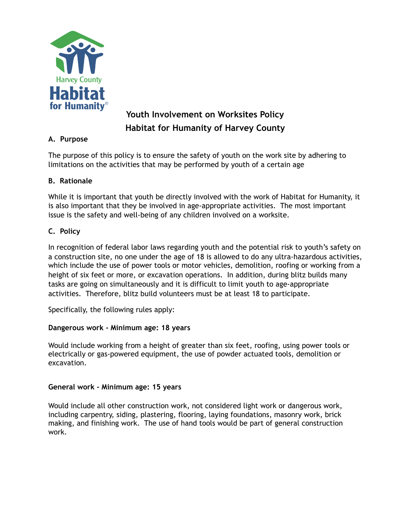

# **Youth Involvement on Worksites Policy Habitat for Humanity of Harvey County**

# **A. Purpose**

The purpose of this policy is to ensure the safety of youth on the work site by adhering to limitations on the activities that may be performed by youth of a certain age

# **B. Rationale**

While it is important that youth be directly involved with the work of Habitat for Humanity, it is also important that they be involved in age-appropriate activities. The most important issue is the safety and well-being of any children involved on a worksite.

# **C. Policy**

In recognition of federal labor laws regarding youth and the potential risk to youth's safety on a construction site, no one under the age of 18 is allowed to do any ultra-hazardous activities, which include the use of power tools or motor vehicles, demolition, roofing or working from a height of six feet or more, or excavation operations. In addition, during blitz builds many tasks are going on simultaneously and it is difficult to limit youth to age-appropriate activities. Therefore, blitz build volunteers must be at least 18 to participate.

Specifically, the following rules apply:

## **Dangerous work - Minimum age: 18 years**

Would include working from a height of greater than six feet, roofing, using power tools or electrically or gas-powered equipment, the use of powder actuated tools, demolition or excavation.

## **General work - Minimum age: 15 years**

Would include all other construction work, not considered light work or dangerous work, including carpentry, siding, plastering, flooring, laying foundations, masonry work, brick making, and finishing work. The use of hand tools would be part of general construction work.